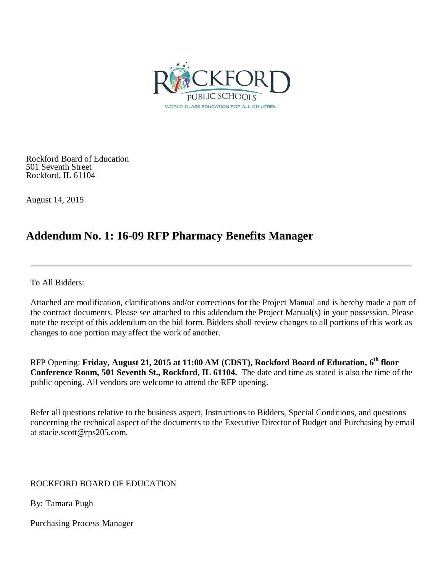

Rockford Board of Education 501 Seventh Street Rockford, IL 61104

August 14, 2015

# **Addendum No. 1: 16-09 RFP Pharmacy Benefits Manager**

To All Bidders:

Attached are modification, clarifications and/or corrections for the Project Manual and is hereby made a part of the contract documents. Please see attached to this addendum the Project Manual(s) in your possession. Please note the receipt of this addendum on the bid form. Bidders shall review changes to all portions of this work as changes to one portion may affect the work of another.

RFP Opening: **Friday, August 21, 2015 at 11:00 AM (CDST), Rockford Board of Education, 6th floor Conference Room, 501 Seventh St., Rockford, IL 61104.** The date and time as stated is also the time of the public opening. All vendors are welcome to attend the RFP opening.

Refer all questions relative to the business aspect, Instructions to Bidders, Special Conditions, and questions concerning the technical aspect of the documents to the Executive Director of Budget and Purchasing by email at stacie.scott@rps205.com.

### ROCKFORD BOARD OF EDUCATION

By: Tamara Pugh

Purchasing Process Manager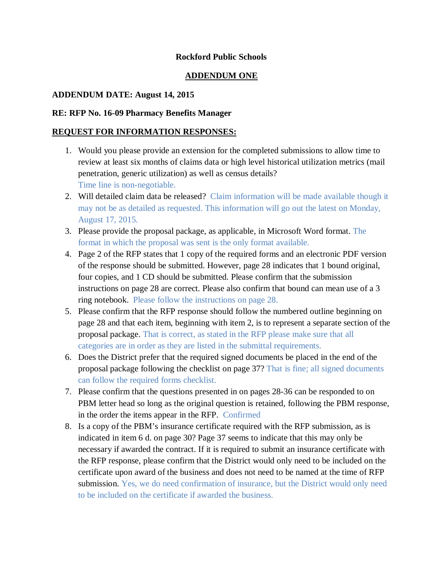#### **Rockford Public Schools**

#### **ADDENDUM ONE**

#### **ADDENDUM DATE: August 14, 2015**

#### **RE: RFP No. 16-09 Pharmacy Benefits Manager**

#### **REQUEST FOR INFORMATION RESPONSES:**

- 1. Would you please provide an extension for the completed submissions to allow time to review at least six months of claims data or high level historical utilization metrics (mail penetration, generic utilization) as well as census details? Time line is non-negotiable.
- 2. Will detailed claim data be released? Claim information will be made available though it may not be as detailed as requested. This information will go out the latest on Monday, August 17, 2015.
- 3. Please provide the proposal package, as applicable, in Microsoft Word format. The format in which the proposal was sent is the only format available.
- 4. Page 2 of the RFP states that 1 copy of the required forms and an electronic PDF version of the response should be submitted. However, page 28 indicates that 1 bound original, four copies, and 1 CD should be submitted. Please confirm that the submission instructions on page 28 are correct. Please also confirm that bound can mean use of a 3 ring notebook. Please follow the instructions on page 28.
- 5. Please confirm that the RFP response should follow the numbered outline beginning on page 28 and that each item, beginning with item 2, is to represent a separate section of the proposal package. That is correct, as stated in the RFP please make sure that all categories are in order as they are listed in the submittal requirements.
- 6. Does the District prefer that the required signed documents be placed in the end of the proposal package following the checklist on page 37? That is fine; all signed documents can follow the required forms checklist.
- 7. Please confirm that the questions presented in on pages 28-36 can be responded to on PBM letter head so long as the original question is retained, following the PBM response, in the order the items appear in the RFP. Confirmed
- 8. Is a copy of the PBM's insurance certificate required with the RFP submission, as is indicated in item 6 d. on page 30? Page 37 seems to indicate that this may only be necessary if awarded the contract. If it is required to submit an insurance certificate with the RFP response, please confirm that the District would only need to be included on the certificate upon award of the business and does not need to be named at the time of RFP submission. Yes, we do need confirmation of insurance, but the District would only need to be included on the certificate if awarded the business.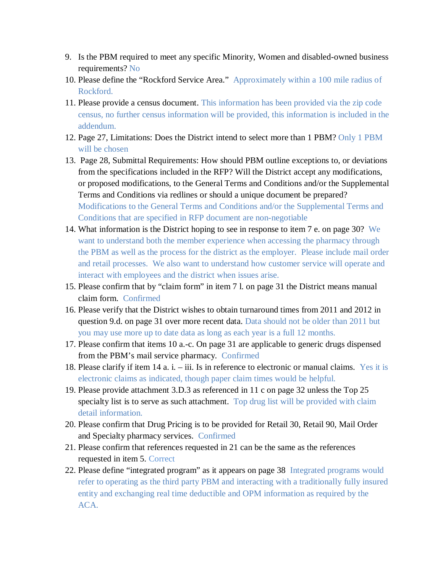- 9. Is the PBM required to meet any specific Minority, Women and disabled-owned business requirements? No
- 10. Please define the "Rockford Service Area." Approximately within a 100 mile radius of Rockford.
- 11. Please provide a census document. This information has been provided via the zip code census, no further census information will be provided, this information is included in the addendum.
- 12. Page 27, Limitations: Does the District intend to select more than 1 PBM? Only 1 PBM will be chosen
- 13. Page 28, Submittal Requirements: How should PBM outline exceptions to, or deviations from the specifications included in the RFP? Will the District accept any modifications, or proposed modifications, to the General Terms and Conditions and/or the Supplemental Terms and Conditions via redlines or should a unique document be prepared? Modifications to the General Terms and Conditions and/or the Supplemental Terms and Conditions that are specified in RFP document are non-negotiable
- 14. What information is the District hoping to see in response to item 7 e. on page 30? We want to understand both the member experience when accessing the pharmacy through the PBM as well as the process for the district as the employer. Please include mail order and retail processes. We also want to understand how customer service will operate and interact with employees and the district when issues arise.
- 15. Please confirm that by "claim form" in item 7 l. on page 31 the District means manual claim form. Confirmed
- 16. Please verify that the District wishes to obtain turnaround times from 2011 and 2012 in question 9.d. on page 31 over more recent data. Data should not be older than 2011 but you may use more up to date data as long as each year is a full 12 months.
- 17. Please confirm that items 10 a.-c. On page 31 are applicable to generic drugs dispensed from the PBM's mail service pharmacy. Confirmed
- 18. Please clarify if item 14 a. i. iii. Is in reference to electronic or manual claims. Yes it is electronic claims as indicated, though paper claim times would be helpful.
- 19. Please provide attachment 3.D.3 as referenced in 11 c on page 32 unless the Top 25 specialty list is to serve as such attachment. Top drug list will be provided with claim detail information.
- 20. Please confirm that Drug Pricing is to be provided for Retail 30, Retail 90, Mail Order and Specialty pharmacy services. Confirmed
- 21. Please confirm that references requested in 21 can be the same as the references requested in item 5. Correct
- 22. Please define "integrated program" as it appears on page 38 Integrated programs would refer to operating as the third party PBM and interacting with a traditionally fully insured entity and exchanging real time deductible and OPM information as required by the ACA.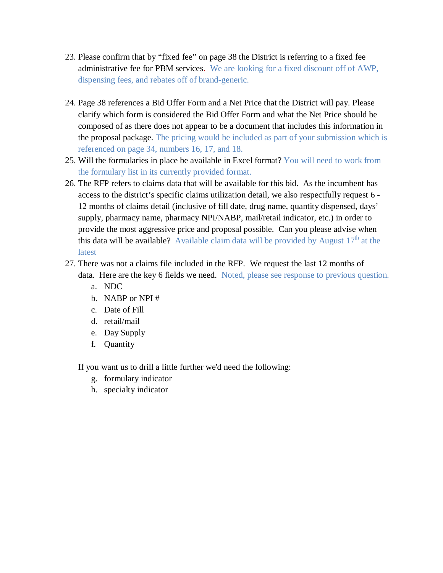- 23. Please confirm that by "fixed fee" on page 38 the District is referring to a fixed fee administrative fee for PBM services. We are looking for a fixed discount off of AWP, dispensing fees, and rebates off of brand-generic.
- 24. Page 38 references a Bid Offer Form and a Net Price that the District will pay. Please clarify which form is considered the Bid Offer Form and what the Net Price should be composed of as there does not appear to be a document that includes this information in the proposal package. The pricing would be included as part of your submission which is referenced on page 34, numbers 16, 17, and 18.
- 25. Will the formularies in place be available in Excel format? You will need to work from the formulary list in its currently provided format.
- 26. The RFP refers to claims data that will be available for this bid. As the incumbent has access to the district's specific claims utilization detail, we also respectfully request 6 - 12 months of claims detail (inclusive of fill date, drug name, quantity dispensed, days' supply, pharmacy name, pharmacy NPI/NABP, mail/retail indicator, etc.) in order to provide the most aggressive price and proposal possible. Can you please advise when this data will be available? Available claim data will be provided by August  $17<sup>th</sup>$  at the **latest**
- 27. There was not a claims file included in the RFP. We request the last 12 months of data. Here are the key 6 fields we need. Noted, please see response to previous question.
	- a. NDC
	- b. NABP or NPI #
	- c. Date of Fill
	- d. retail/mail
	- e. Day Supply
	- f. Quantity

If you want us to drill a little further we'd need the following:

- g. formulary indicator
- h. specialty indicator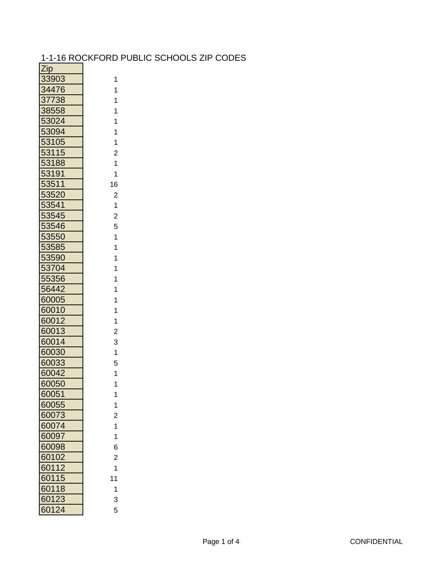## 1-1-16 ROCKFORD PUBLIC SCHOOLS ZIP CODES

| <u>Zip</u>   |                                       |
|--------------|---------------------------------------|
| 33903        | 1                                     |
| 34476        | 1                                     |
| <u>37738</u> | 1                                     |
| 38558        | $\mathbf 1$                           |
| 53024        | 1                                     |
| 53094        | $\mathbf{1}$                          |
| 53105        | $\ddot{\phantom{0}}$                  |
| 53115        | $\overline{\mathbf{c}}$               |
| 53188        | $\overline{\mathbf{1}}$               |
| 53191        | $\mathbf 1$                           |
| 53511        | 16                                    |
| 53520        | $\overline{\mathbf{c}}$               |
| 53541        |                                       |
| 53545        | $\frac{1}{2}$                         |
| 3546         | 5                                     |
| <u>53550</u> |                                       |
| 53585        | $\begin{array}{c} 1 \\ 1 \end{array}$ |
| 53590        | $\ddot{\phantom{0}}$                  |
| 53704        | $\mathbf{1}$                          |
| 55356        | $\mathbf{1}$                          |
| 56442        | $\mathbf{1}$                          |
| 60005        | 1                                     |
| 60010        | $\frac{1}{1}$                         |
| 60012        | $\mathbf{1}$                          |
| 60013        | $\overline{\mathbf{c}}$               |
| 60014        | 3                                     |
| 60030        | $\mathbf{1}$                          |
| 60033        | 5                                     |
| 60042        | $\overline{\mathbf{1}}$               |
| 60050        | 1                                     |
| 60051        | 1                                     |
| 60055        | $\frac{1}{2}$                         |
| 60073        | $\overline{c}$                        |
| 60074        | $\ddot{\phantom{1}}$                  |
| 60097        | $\ddot{\phantom{0}}$                  |
| 60098        | 6                                     |
| 60102        | $\overline{c}$                        |
| 60112        | 1                                     |
| 60115        | 11                                    |
| 60118        | $\mathbf{1}$                          |
| 60123        | 3                                     |
| 60124        | 5                                     |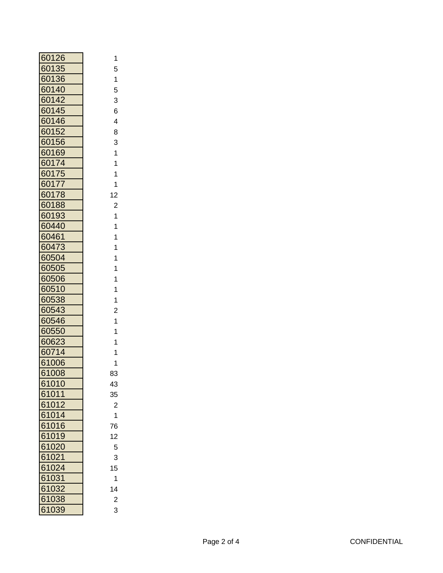| 60126          |  |
|----------------|--|
| 60135          |  |
| 60136          |  |
| 60140          |  |
| 60142          |  |
| 60145          |  |
| 60146          |  |
| 60152          |  |
| 60156          |  |
| 60169          |  |
| 60174          |  |
| 60175          |  |
| 60177          |  |
| 60178          |  |
| 60188          |  |
| 60193          |  |
| 60440          |  |
| 60461          |  |
| 60473          |  |
| 60504          |  |
| 60505          |  |
| 60506          |  |
| 60510          |  |
| 60538          |  |
| 60543          |  |
| 60546          |  |
| 60550          |  |
| 60623          |  |
| 60714          |  |
| 61006          |  |
| 61008          |  |
| 61010          |  |
| 61011          |  |
| 61012          |  |
| 61014          |  |
| 61016<br>61019 |  |
| 61020          |  |
| 61021          |  |
| 61024          |  |
| 61031          |  |
| 61032          |  |
| 61038          |  |
| 61039          |  |
|                |  |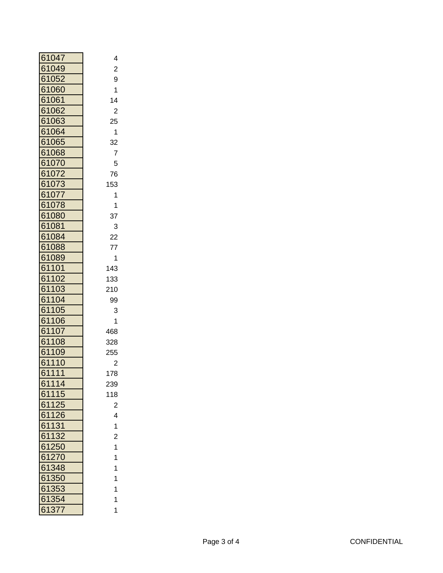| 61047                          | 4              |
|--------------------------------|----------------|
| 61<br>049                      | $\overline{c}$ |
| 052<br>61                      | 9              |
| 61<br>060                      | 1              |
| 61<br>061                      | 14             |
| 61<br>062                      | $\overline{c}$ |
| 61<br>063                      | 25             |
| 064<br>61                      | 1              |
| 61<br>065                      | 32             |
| 61068                          | 7              |
| 61<br>070                      | 5              |
| 072<br>61                      | 76             |
| 073<br>61                      | 153            |
| 61<br>077                      | 1              |
| 61<br>078                      | 1              |
| 61<br>080                      | 37             |
| 61081                          | 3              |
| 084<br>61                      | 22             |
| 61<br>088                      | 77             |
| 089<br>61                      | 1              |
| 61<br>101                      | 143            |
| 02<br>61<br>1                  | 133            |
| 103<br>61                      | 210            |
| 61<br>04<br>1                  | 99             |
| 61<br>05<br>1                  | 3              |
| 61<br>06                       | 1              |
| 61<br>07                       | 468            |
| 61<br>1<br>08                  | 328            |
| 61<br>09<br>1                  | 255            |
| 61<br>10<br>1                  | $\overline{c}$ |
| 61<br>1<br>$\overline{1}$<br>1 | 178            |
| 61114                          | 239            |
| 61115                          | 118            |
| 61125                          | $\overline{c}$ |
| 61126                          | 4              |
| 61131                          | 1              |
| 61132                          | $\overline{c}$ |
| 61250                          | 1              |
| 61270                          | 1              |
| 61348                          | 1              |
| 350<br>61                      | 1              |
| 61353                          | 1              |
| 61354                          | 1              |
| 61377                          | 1              |